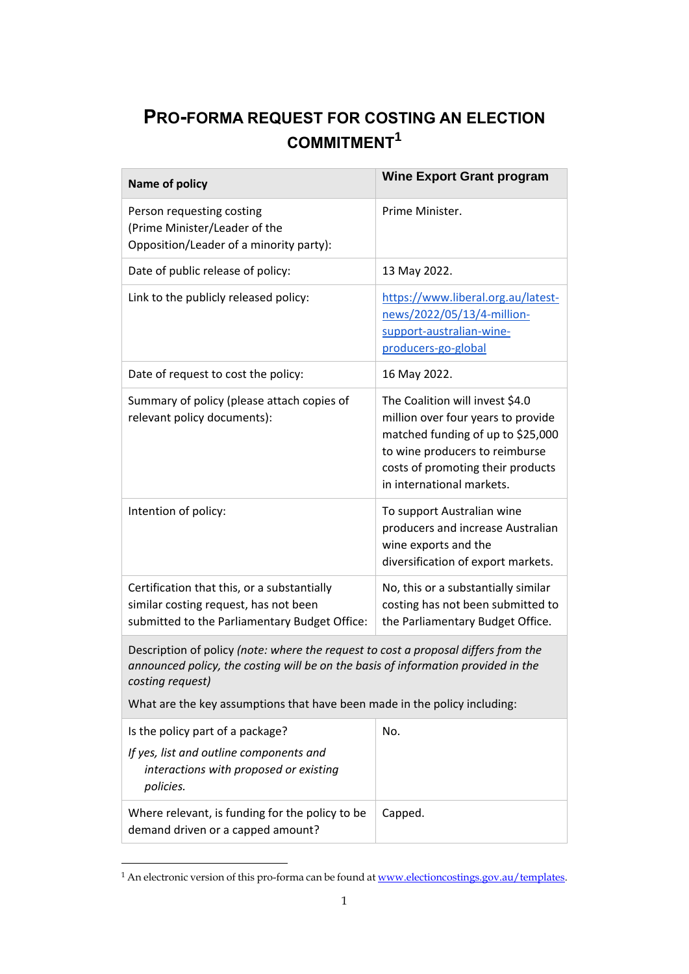## **PRO-FORMA REQUEST FOR COSTING AN ELECTION COMMITMENT<sup>1</sup>**

| <b>Name of policy</b>                                                                                                                                                                                                                                                    | <b>Wine Export Grant program</b>                                                                                                                                                                               |
|--------------------------------------------------------------------------------------------------------------------------------------------------------------------------------------------------------------------------------------------------------------------------|----------------------------------------------------------------------------------------------------------------------------------------------------------------------------------------------------------------|
| Person requesting costing<br>(Prime Minister/Leader of the<br>Opposition/Leader of a minority party):                                                                                                                                                                    | Prime Minister.                                                                                                                                                                                                |
| Date of public release of policy:                                                                                                                                                                                                                                        | 13 May 2022.                                                                                                                                                                                                   |
| Link to the publicly released policy:                                                                                                                                                                                                                                    | https://www.liberal.org.au/latest-<br>news/2022/05/13/4-million-<br>support-australian-wine-<br>producers-go-global                                                                                            |
| Date of request to cost the policy:                                                                                                                                                                                                                                      | 16 May 2022.                                                                                                                                                                                                   |
| Summary of policy (please attach copies of<br>relevant policy documents):                                                                                                                                                                                                | The Coalition will invest \$4.0<br>million over four years to provide<br>matched funding of up to \$25,000<br>to wine producers to reimburse<br>costs of promoting their products<br>in international markets. |
| Intention of policy:                                                                                                                                                                                                                                                     | To support Australian wine<br>producers and increase Australian<br>wine exports and the<br>diversification of export markets.                                                                                  |
| Certification that this, or a substantially<br>similar costing request, has not been<br>submitted to the Parliamentary Budget Office:                                                                                                                                    | No, this or a substantially similar<br>costing has not been submitted to<br>the Parliamentary Budget Office.                                                                                                   |
| Description of policy (note: where the request to cost a proposal differs from the<br>announced policy, the costing will be on the basis of information provided in the<br>costing request)<br>What are the key assumptions that have been made in the policy including: |                                                                                                                                                                                                                |
| Is the policy part of a package?<br>If yes, list and outline components and<br>interactions with proposed or existing<br>policies.                                                                                                                                       | No.                                                                                                                                                                                                            |
| Where relevant, is funding for the policy to be<br>demand driven or a capped amount?                                                                                                                                                                                     | Capped.                                                                                                                                                                                                        |

<sup>&</sup>lt;sup>1</sup> An electronic version of this pro-forma can be found at <u>www.electioncostings.gov.au/templates</u>.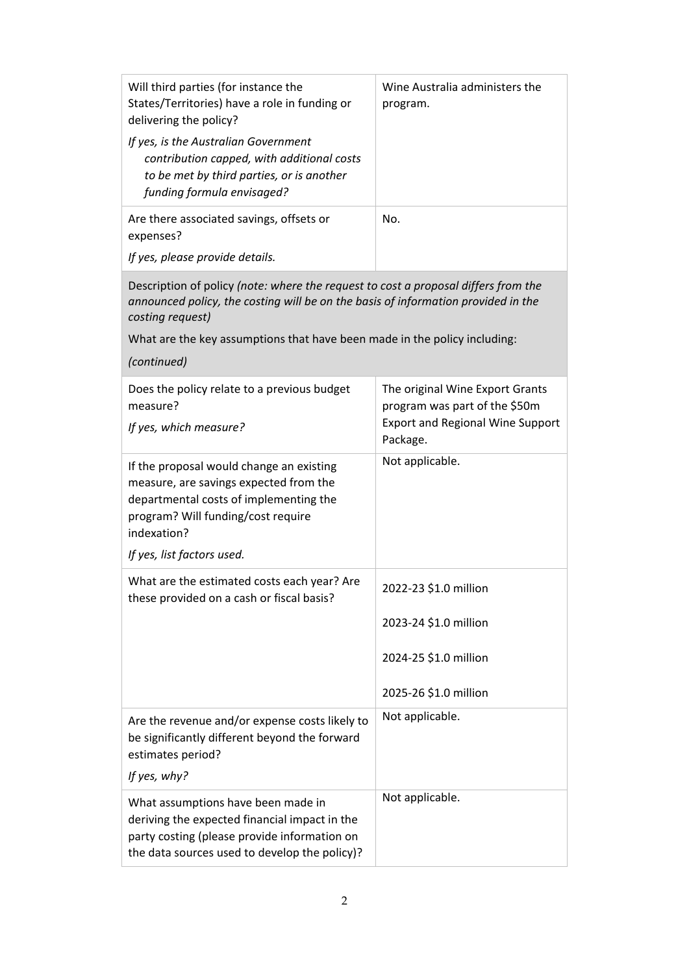| Will third parties (for instance the<br>States/Territories) have a role in funding or<br>delivering the policy?<br>If yes, is the Australian Government<br>contribution capped, with additional costs<br>to be met by third parties, or is another<br>funding formula envisaged? | Wine Australia administers the<br>program.                       |  |
|----------------------------------------------------------------------------------------------------------------------------------------------------------------------------------------------------------------------------------------------------------------------------------|------------------------------------------------------------------|--|
| Are there associated savings, offsets or<br>expenses?                                                                                                                                                                                                                            | No.                                                              |  |
| If yes, please provide details.                                                                                                                                                                                                                                                  |                                                                  |  |
| Description of policy (note: where the request to cost a proposal differs from the<br>announced policy, the costing will be on the basis of information provided in the<br>costing request)                                                                                      |                                                                  |  |
| What are the key assumptions that have been made in the policy including:                                                                                                                                                                                                        |                                                                  |  |
| (continued)                                                                                                                                                                                                                                                                      |                                                                  |  |
| Does the policy relate to a previous budget<br>measure?                                                                                                                                                                                                                          | The original Wine Export Grants<br>program was part of the \$50m |  |
| If yes, which measure?                                                                                                                                                                                                                                                           | <b>Export and Regional Wine Support</b><br>Package.              |  |
| If the proposal would change an existing<br>measure, are savings expected from the<br>departmental costs of implementing the<br>program? Will funding/cost require<br>indexation?                                                                                                | Not applicable.                                                  |  |
| If yes, list factors used.                                                                                                                                                                                                                                                       |                                                                  |  |
| What are the estimated costs each year? Are<br>these provided on a cash or fiscal basis?                                                                                                                                                                                         | 2022-23 \$1.0 million                                            |  |
|                                                                                                                                                                                                                                                                                  | 2023-24 \$1.0 million                                            |  |
|                                                                                                                                                                                                                                                                                  | 2024-25 \$1.0 million                                            |  |
|                                                                                                                                                                                                                                                                                  | 2025-26 \$1.0 million                                            |  |
| Are the revenue and/or expense costs likely to<br>be significantly different beyond the forward<br>estimates period?                                                                                                                                                             | Not applicable.                                                  |  |
| If yes, why?                                                                                                                                                                                                                                                                     |                                                                  |  |
| What assumptions have been made in<br>deriving the expected financial impact in the<br>party costing (please provide information on<br>the data sources used to develop the policy)?                                                                                             | Not applicable.                                                  |  |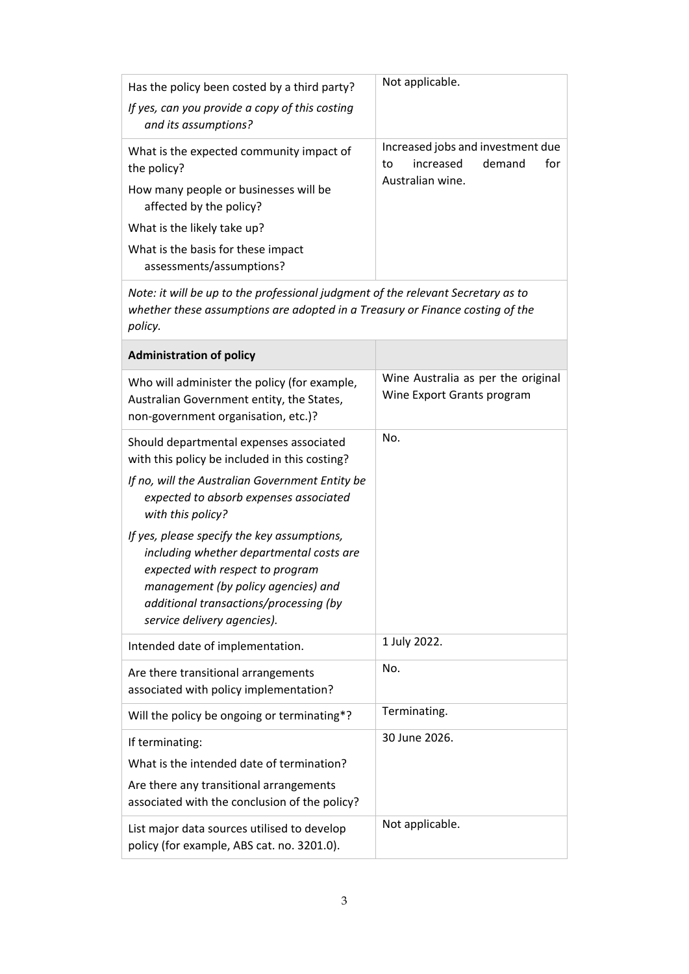| Has the policy been costed by a third party?                                                                                                                                                                                                | Not applicable.                                                       |  |
|---------------------------------------------------------------------------------------------------------------------------------------------------------------------------------------------------------------------------------------------|-----------------------------------------------------------------------|--|
| If yes, can you provide a copy of this costing<br>and its assumptions?                                                                                                                                                                      |                                                                       |  |
| What is the expected community impact of<br>the policy?                                                                                                                                                                                     | Increased jobs and investment due<br>increased<br>demand<br>for<br>to |  |
| How many people or businesses will be<br>affected by the policy?                                                                                                                                                                            | Australian wine.                                                      |  |
| What is the likely take up?                                                                                                                                                                                                                 |                                                                       |  |
| What is the basis for these impact<br>assessments/assumptions?                                                                                                                                                                              |                                                                       |  |
| Note: it will be up to the professional judgment of the relevant Secretary as to<br>whether these assumptions are adopted in a Treasury or Finance costing of the<br>policy.                                                                |                                                                       |  |
| <b>Administration of policy</b>                                                                                                                                                                                                             |                                                                       |  |
| Who will administer the policy (for example,<br>Australian Government entity, the States,<br>non-government organisation, etc.)?                                                                                                            | Wine Australia as per the original<br>Wine Export Grants program      |  |
| Should departmental expenses associated<br>with this policy be included in this costing?                                                                                                                                                    | No.                                                                   |  |
| If no, will the Australian Government Entity be<br>expected to absorb expenses associated<br>with this policy?                                                                                                                              |                                                                       |  |
| If yes, please specify the key assumptions,<br>including whether departmental costs are<br>expected with respect to program<br>management (by policy agencies) and<br>additional transactions/processing (by<br>service delivery agencies). |                                                                       |  |
| Intended date of implementation.                                                                                                                                                                                                            | 1 July 2022.                                                          |  |
| Are there transitional arrangements<br>associated with policy implementation?                                                                                                                                                               | No.                                                                   |  |
| Will the policy be ongoing or terminating*?                                                                                                                                                                                                 | Terminating.                                                          |  |
| If terminating:                                                                                                                                                                                                                             | 30 June 2026.                                                         |  |
| What is the intended date of termination?                                                                                                                                                                                                   |                                                                       |  |
| Are there any transitional arrangements<br>associated with the conclusion of the policy?                                                                                                                                                    |                                                                       |  |
| List major data sources utilised to develop<br>policy (for example, ABS cat. no. 3201.0).                                                                                                                                                   | Not applicable.                                                       |  |